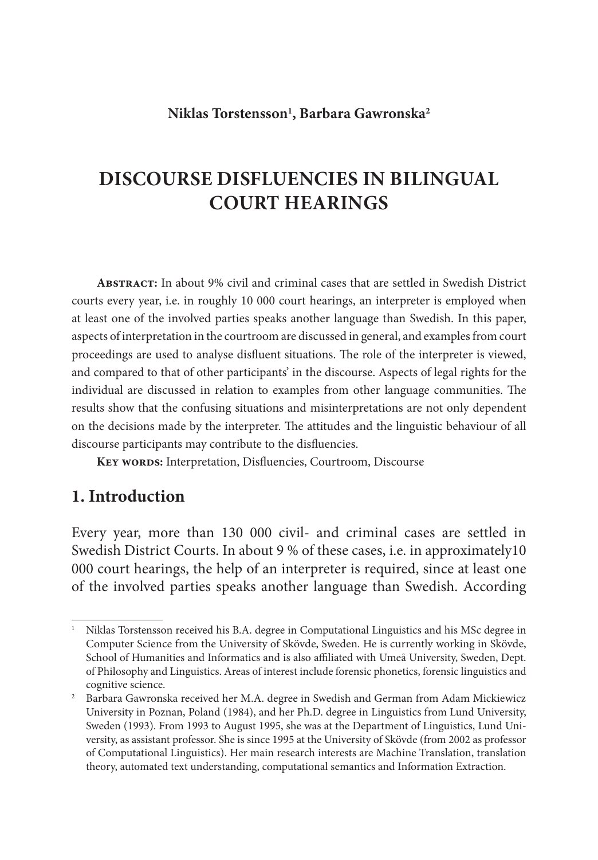## **Niklas Torstensson1 , Barbara Gawronska2**

# **DISCOURSE DISFLUENCIES IN BILINGUAL COURT HEARINGS**

**Abstract:** In about 9% civil and criminal cases that are settled in Swedish District courts every year, i.e. in roughly 10 000 court hearings, an interpreter is employed when at least one of the involved parties speaks another language than Swedish. In this paper, aspects of interpretation in the courtroom are discussed in general, and examples from court proceedings are used to analyse disfluent situations. The role of the interpreter is viewed, and compared to that of other participants' in the discourse. Aspects of legal rights for the individual are discussed in relation to examples from other language communities. The results show that the confusing situations and misinterpretations are not only dependent on the decisions made by the interpreter. The attitudes and the linguistic behaviour of all discourse participants may contribute to the disfluencies.

KEY WORDS: Interpretation, Disfluencies, Courtroom, Discourse

## **1. Introduction**

Every year, more than 130 000 civil- and criminal cases are settled in Swedish District Courts. In about 9 % of these cases, i.e. in approximately10 000 court hearings, the help of an interpreter is required, since at least one of the involved parties speaks another language than Swedish. According

<sup>&</sup>lt;sup>1</sup> Niklas Torstensson received his B.A. degree in Computational Linguistics and his MSc degree in Computer Science from the University of Skövde, Sweden. He is currently working in Skövde, School of Humanities and Informatics and is also affiliated with Umeå University, Sweden, Dept. of Philosophy and Linguistics. Areas of interest include forensic phonetics, forensic linguistics and cognitive science.

<sup>&</sup>lt;sup>2</sup> Barbara Gawronska received her M.A. degree in Swedish and German from Adam Mickiewicz University in Poznan, Poland (1984), and her Ph.D. degree in Linguistics from Lund University, Sweden (1993). From 1993 to August 1995, she was at the Department of Linguistics, Lund University, as assistant professor. She is since 1995 at the University of Skövde (from 2002 as professor of Computational Linguistics). Her main research interests are Machine Translation, translation theory, automated text understanding, computational semantics and Information Extraction.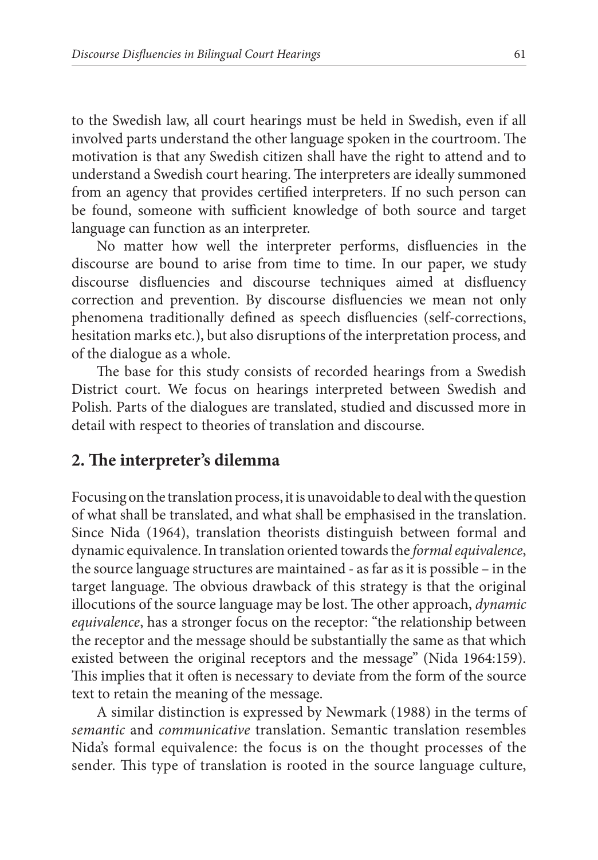to the Swedish law, all court hearings must be held in Swedish, even if all involved parts understand the other language spoken in the courtroom. The motivation is that any Swedish citizen shall have the right to attend and to understand a Swedish court hearing. The interpreters are ideally summoned from an agency that provides certified interpreters. If no such person can be found, someone with sufficient knowledge of both source and target language can function as an interpreter.

No matter how well the interpreter performs, disfluencies in the discourse are bound to arise from time to time. In our paper, we study discourse disfluencies and discourse techniques aimed at disfluency correction and prevention. By discourse disfluencies we mean not only phenomena traditionally defined as speech disfluencies (self-corrections, hesitation marks etc.), but also disruptions of the interpretation process, and of the dialogue as a whole.

The base for this study consists of recorded hearings from a Swedish District court. We focus on hearings interpreted between Swedish and Polish. Parts of the dialogues are translated, studied and discussed more in detail with respect to theories of translation and discourse.

## 2. The interpreter's dilemma

Focusing on the translation process, it is unavoidable to deal with the question of what shall be translated, and what shall be emphasised in the translation. Since Nida (1964), translation theorists distinguish between formal and dynamic equivalence. In translation oriented towards the *formal equivalence*, the source language structures are maintained - as far as it is possible – in the target language. The obvious drawback of this strategy is that the original illocutions of the source language may be lost. The other approach, *dynamic equivalence*, has a stronger focus on the receptor: "the relationship between the receptor and the message should be substantially the same as that which existed between the original receptors and the message" (Nida 1964:159). This implies that it often is necessary to deviate from the form of the source text to retain the meaning of the message.

A similar distinction is expressed by Newmark (1988) in the terms of *semantic* and *communicative* translation. Semantic translation resembles Nida's formal equivalence: the focus is on the thought processes of the sender. This type of translation is rooted in the source language culture,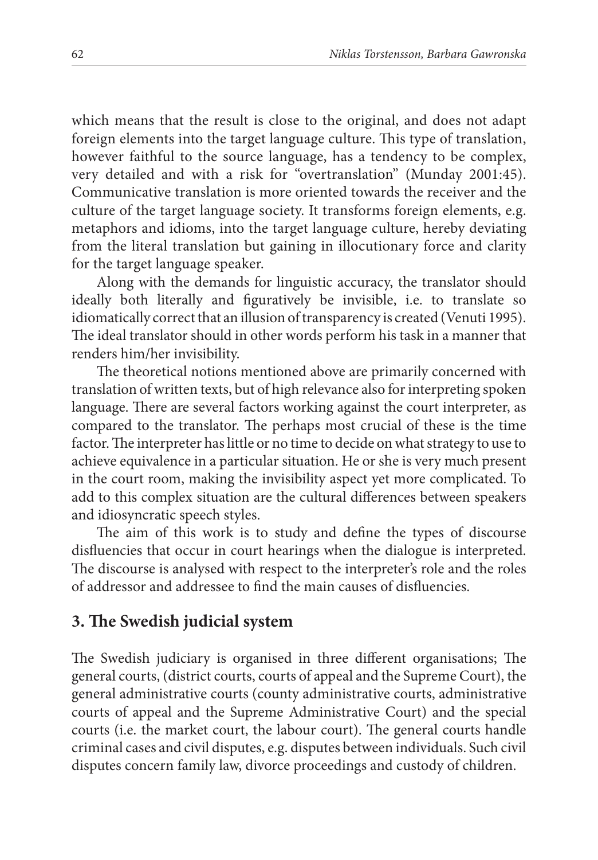which means that the result is close to the original, and does not adapt foreign elements into the target language culture. This type of translation, however faithful to the source language, has a tendency to be complex, very detailed and with a risk for "overtranslation" (Munday 2001:45). Communicative translation is more oriented towards the receiver and the culture of the target language society. It transforms foreign elements, e.g. metaphors and idioms, into the target language culture, hereby deviating from the literal translation but gaining in illocutionary force and clarity for the target language speaker.

Along with the demands for linguistic accuracy, the translator should ideally both literally and figuratively be invisible, i.e. to translate so idiomatically correct that an illusion of transparency is created (Venuti 1995). The ideal translator should in other words perform his task in a manner that renders him/her invisibility.

The theoretical notions mentioned above are primarily concerned with translation of written texts, but of high relevance also for interpreting spoken language. There are several factors working against the court interpreter, as compared to the translator. The perhaps most crucial of these is the time factor. The interpreter has little or no time to decide on what strategy to use to achieve equivalence in a particular situation. He or she is very much present in the court room, making the invisibility aspect yet more complicated. To add to this complex situation are the cultural differences between speakers and idiosyncratic speech styles.

The aim of this work is to study and define the types of discourse disfluencies that occur in court hearings when the dialogue is interpreted. The discourse is analysed with respect to the interpreter's role and the roles of addressor and addressee to find the main causes of disfluencies.

## **3. The Swedish judicial system**

The Swedish judiciary is organised in three different organisations; The general courts, (district courts, courts of appeal and the Supreme Court), the general administrative courts (county administrative courts, administrative courts of appeal and the Supreme Administrative Court) and the special courts (i.e. the market court, the labour court). The general courts handle criminal cases and civil disputes, e.g. disputes between individuals. Such civil disputes concern family law, divorce proceedings and custody of children.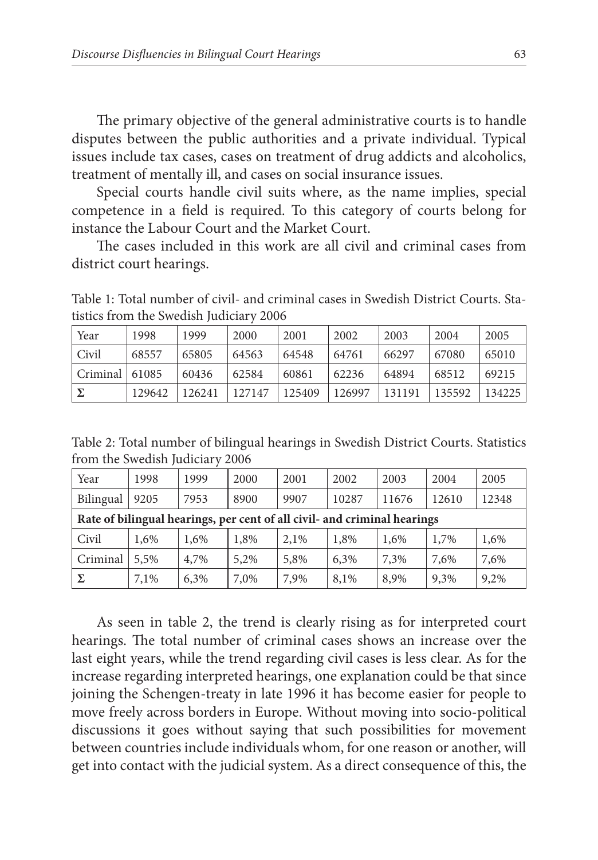The primary objective of the general administrative courts is to handle disputes between the public authorities and a private individual. Typical issues include tax cases, cases on treatment of drug addicts and alcoholics, treatment of mentally ill, and cases on social insurance issues.

Special courts handle civil suits where, as the name implies, special competence in a field is required. To this category of courts belong for instance the Labour Court and the Market Court.

The cases included in this work are all civil and criminal cases from district court hearings.

Table 1: Total number of civil- and criminal cases in Swedish District Courts. Statistics from the Swedish Judiciary 2006

| Year                 | 1998   | 1999   | 2000   | 2001   | 2002   | 2003   | 2004   | 2005   |
|----------------------|--------|--------|--------|--------|--------|--------|--------|--------|
| $\overline{C}$ civil | 68557  | 65805  | 64563  | 64548  | 64761  | 66297  | 67080  | 65010  |
| $ Criminal $ 61085   |        | 60436  | 62584  | 60861  | 62236  | 64894  | 68512  | 69215  |
|                      | 129642 | 126241 | 127147 | 125409 | 126997 | 131191 | 135592 | 134225 |

Table 2: Total number of bilingual hearings in Swedish District Courts. Statistics from the Swedish Judiciary 2006

| Year                                                                     | 1998 | 1999 | 2000 | 2001 | 2002  | 2003  | 2004  | 2005  |  |  |
|--------------------------------------------------------------------------|------|------|------|------|-------|-------|-------|-------|--|--|
| Bilingual                                                                | 9205 | 7953 | 8900 | 9907 | 10287 | 11676 | 12610 | 12348 |  |  |
| Rate of bilingual hearings, per cent of all civil- and criminal hearings |      |      |      |      |       |       |       |       |  |  |
| Civil                                                                    | 1,6% | 1,6% | 1,8% | 2.1% | 1,8%  | 1,6%  | 1,7%  | 1,6%  |  |  |
| Criminal                                                                 | 5,5% | 4,7% | 5,2% | 5,8% | 6,3%  | 7,3%  | 7,6%  | 7,6%  |  |  |
| Σ                                                                        | 7,1% | 6,3% | 7,0% | 7,9% | 8,1%  | 8,9%  | 9,3%  | 9,2%  |  |  |

As seen in table 2, the trend is clearly rising as for interpreted court hearings. The total number of criminal cases shows an increase over the last eight years, while the trend regarding civil cases is less clear. As for the increase regarding interpreted hearings, one explanation could be that since joining the Schengen-treaty in late 1996 it has become easier for people to move freely across borders in Europe. Without moving into socio-political discussions it goes without saying that such possibilities for movement between countries include individuals whom, for one reason or another, will get into contact with the judicial system. As a direct consequence of this, the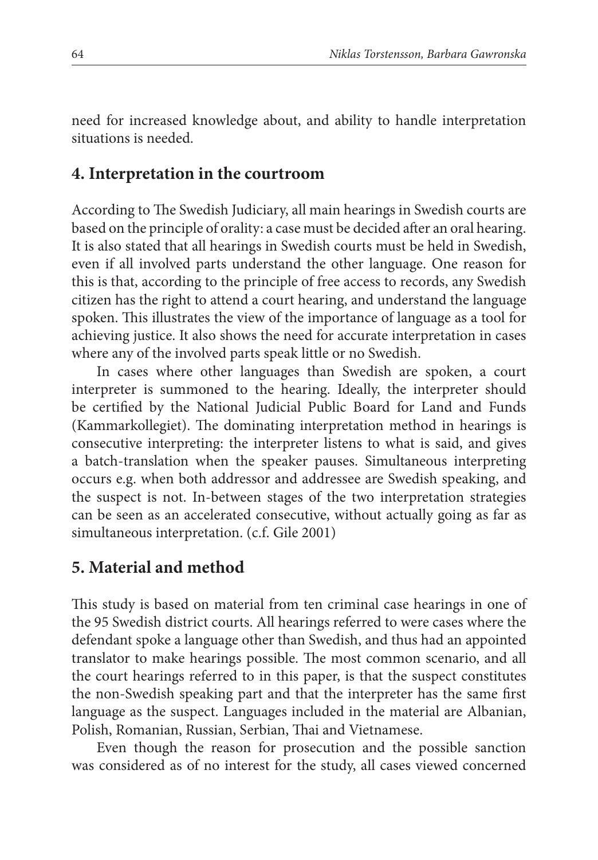need for increased knowledge about, and ability to handle interpretation situations is needed.

#### **4. Interpretation in the courtroom**

According to The Swedish Judiciary, all main hearings in Swedish courts are based on the principle of orality: a case must be decided after an oral hearing. It is also stated that all hearings in Swedish courts must be held in Swedish, even if all involved parts understand the other language. One reason for this is that, according to the principle of free access to records, any Swedish citizen has the right to attend a court hearing, and understand the language spoken. This illustrates the view of the importance of language as a tool for achieving justice. It also shows the need for accurate interpretation in cases where any of the involved parts speak little or no Swedish.

In cases where other languages than Swedish are spoken, a court interpreter is summoned to the hearing. Ideally, the interpreter should be certified by the National Judicial Public Board for Land and Funds (Kammarkollegiet). The dominating interpretation method in hearings is consecutive interpreting: the interpreter listens to what is said, and gives a batch-translation when the speaker pauses. Simultaneous interpreting occurs e.g. when both addressor and addressee are Swedish speaking, and the suspect is not. In-between stages of the two interpretation strategies can be seen as an accelerated consecutive, without actually going as far as simultaneous interpretation. (c.f. Gile 2001)

## **5. Material and method**

This study is based on material from ten criminal case hearings in one of the 95 Swedish district courts. All hearings referred to were cases where the defendant spoke a language other than Swedish, and thus had an appointed translator to make hearings possible. The most common scenario, and all the court hearings referred to in this paper, is that the suspect constitutes the non-Swedish speaking part and that the interpreter has the same first language as the suspect. Languages included in the material are Albanian, Polish, Romanian, Russian, Serbian, Thai and Vietnamese.

Even though the reason for prosecution and the possible sanction was considered as of no interest for the study, all cases viewed concerned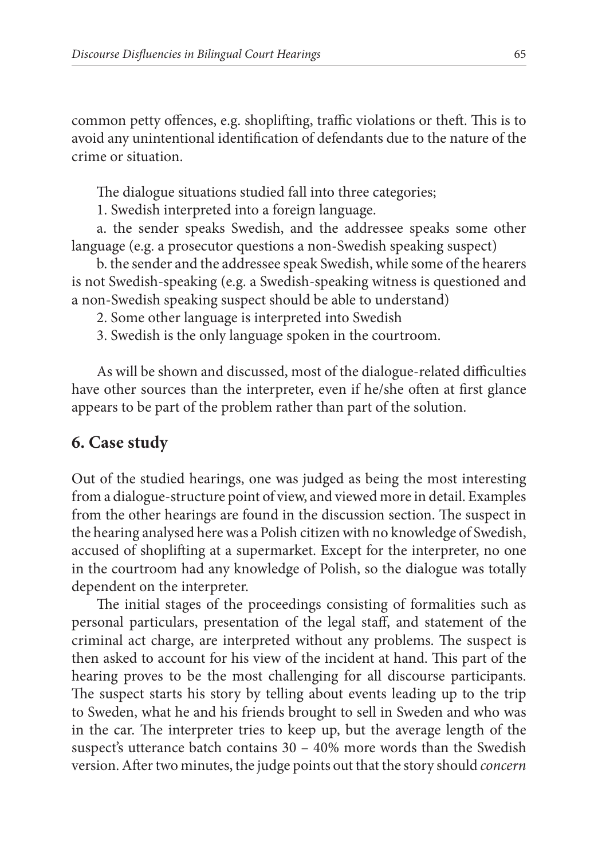common petty offences, e.g. shoplifting, traffic violations or theft. This is to avoid any unintentional identification of defendants due to the nature of the crime or situation.

The dialogue situations studied fall into three categories;

1. Swedish interpreted into a foreign language.

a. the sender speaks Swedish, and the addressee speaks some other language (e.g. a prosecutor questions a non-Swedish speaking suspect)

b. the sender and the addressee speak Swedish, while some of the hearers is not Swedish-speaking (e.g. a Swedish-speaking witness is questioned and a non-Swedish speaking suspect should be able to understand)

- 2. Some other language is interpreted into Swedish
- 3. Swedish is the only language spoken in the courtroom.

As will be shown and discussed, most of the dialogue-related difficulties have other sources than the interpreter, even if he/she often at first glance appears to be part of the problem rather than part of the solution.

#### **6. Case study**

Out of the studied hearings, one was judged as being the most interesting from a dialogue-structure point of view, and viewed more in detail. Examples from the other hearings are found in the discussion section. The suspect in the hearing analysed here was a Polish citizen with no knowledge of Swedish, accused of shoplifting at a supermarket. Except for the interpreter, no one in the courtroom had any knowledge of Polish, so the dialogue was totally dependent on the interpreter.

The initial stages of the proceedings consisting of formalities such as personal particulars, presentation of the legal staff, and statement of the criminal act charge, are interpreted without any problems. The suspect is then asked to account for his view of the incident at hand. This part of the hearing proves to be the most challenging for all discourse participants. The suspect starts his story by telling about events leading up to the trip to Sweden, what he and his friends brought to sell in Sweden and who was in the car. The interpreter tries to keep up, but the average length of the suspect's utterance batch contains  $30 - 40\%$  more words than the Swedish version. After two minutes, the judge points out that the story should *concern*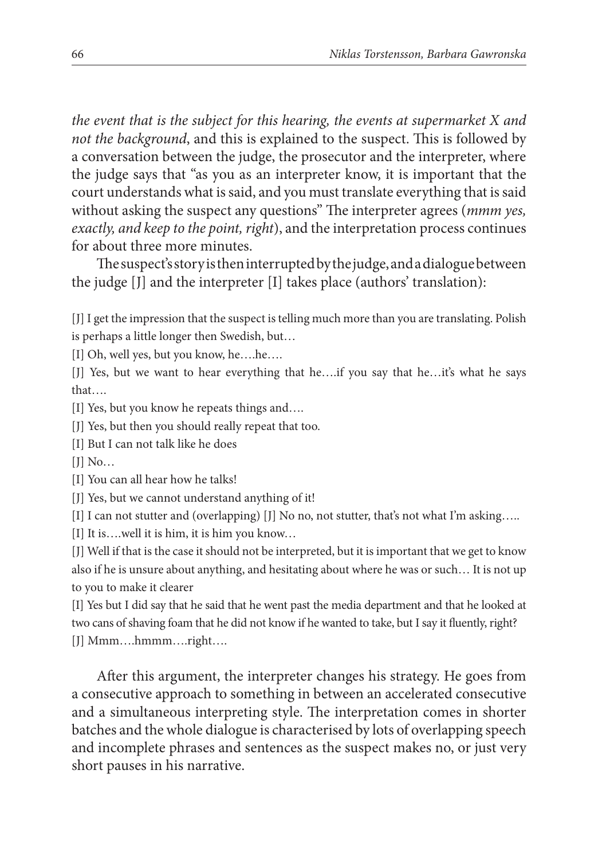*the event that is the subject for this hearing, the events at supermarket X and not the background*, and this is explained to the suspect. This is followed by a conversation between the judge, the prosecutor and the interpreter, where the judge says that "as you as an interpreter know, it is important that the court understands what is said, and you must translate everything that is said without asking the suspect any questions" The interpreter agrees (*mmm yes*, *exactly, and keep to the point, right*), and the interpretation process continues for about three more minutes.

The suspect's story is then interrupted by the judge, and a dialogue between the judge [J] and the interpreter [I] takes place (authors' translation):

[J] I get the impression that the suspect is telling much more than you are translating. Polish is perhaps a little longer then Swedish, but…

[I] Oh, well yes, but you know, he….he….

[J] Yes, but we want to hear everything that he….if you say that he…it's what he says that….

[I] Yes, but you know he repeats things and….

[J] Yes, but then you should really repeat that too.

[I] But I can not talk like he does

 $[J]$  No...

[I] You can all hear how he talks!

[J] Yes, but we cannot understand anything of it!

[I] I can not stutter and (overlapping) [J] No no, not stutter, that's not what I'm asking…..

[I] It is….well it is him, it is him you know…

[J] Well if that is the case it should not be interpreted, but it is important that we get to know also if he is unsure about anything, and hesitating about where he was or such… It is not up to you to make it clearer

[I] Yes but I did say that he said that he went past the media department and that he looked at two cans of shaving foam that he did not know if he wanted to take, but I say it fluently, right? [J] Mmm….hmmm….right….

After this argument, the interpreter changes his strategy. He goes from a consecutive approach to something in between an accelerated consecutive and a simultaneous interpreting style. The interpretation comes in shorter batches and the whole dialogue is characterised by lots of overlapping speech and incomplete phrases and sentences as the suspect makes no, or just very short pauses in his narrative.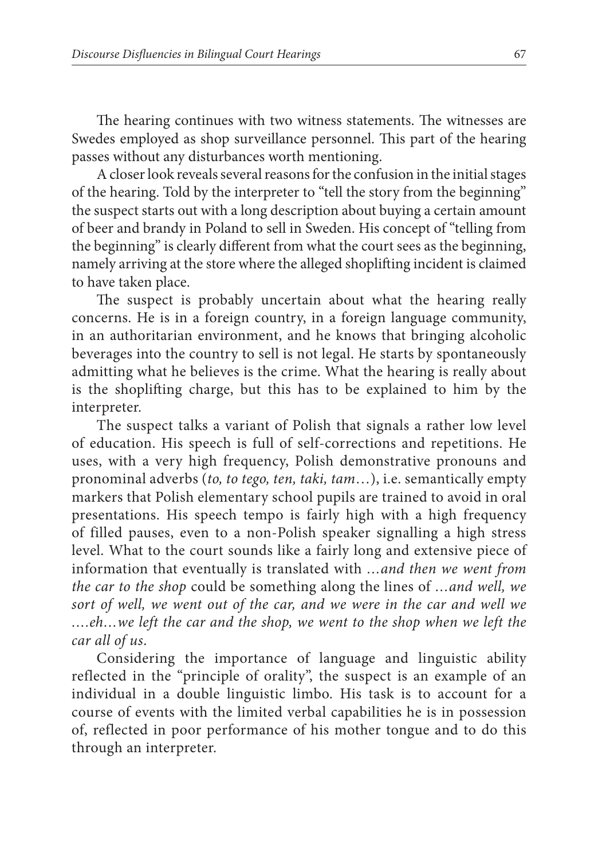The hearing continues with two witness statements. The witnesses are Swedes employed as shop surveillance personnel. This part of the hearing passes without any disturbances worth mentioning.

A closer look reveals several reasons for the confusion in the initial stages of the hearing. Told by the interpreter to "tell the story from the beginning" the suspect starts out with a long description about buying a certain amount of beer and brandy in Poland to sell in Sweden. His concept of "telling from the beginning" is clearly different from what the court sees as the beginning, namely arriving at the store where the alleged shoplifting incident is claimed to have taken place.

The suspect is probably uncertain about what the hearing really concerns. He is in a foreign country, in a foreign language community, in an authoritarian environment, and he knows that bringing alcoholic beverages into the country to sell is not legal. He starts by spontaneously admitting what he believes is the crime. What the hearing is really about is the shoplifting charge, but this has to be explained to him by the interpreter.

The suspect talks a variant of Polish that signals a rather low level of education. His speech is full of self-corrections and repetitions. He uses, with a very high frequency, Polish demonstrative pronouns and pronominal adverbs (*to, to tego, ten, taki, tam*…), i.e. semantically empty markers that Polish elementary school pupils are trained to avoid in oral presentations. His speech tempo is fairly high with a high frequency of filled pauses, even to a non-Polish speaker signalling a high stress level. What to the court sounds like a fairly long and extensive piece of information that eventually is translated with *…and then we went from the car to the shop* could be something along the lines of *…and well, we sort of well, we went out of the car, and we were in the car and well we ….eh…we left the car and the shop, we went to the shop when we left the car all of us*.

Considering the importance of language and linguistic ability reflected in the "principle of orality", the suspect is an example of an individual in a double linguistic limbo. His task is to account for a course of events with the limited verbal capabilities he is in possession of, reflected in poor performance of his mother tongue and to do this through an interpreter.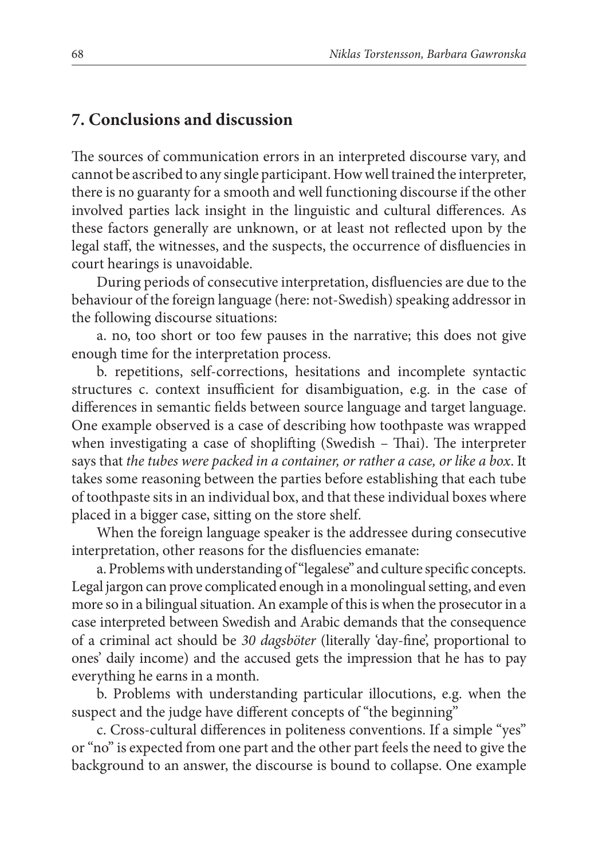#### **7. Conclusions and discussion**

The sources of communication errors in an interpreted discourse vary, and cannot be ascribed to any single participant. How well trained the interpreter, there is no guaranty for a smooth and well functioning discourse if the other involved parties lack insight in the linguistic and cultural differences. As these factors generally are unknown, or at least not reflected upon by the legal staff, the witnesses, and the suspects, the occurrence of disfluencies in court hearings is unavoidable.

During periods of consecutive interpretation, disfluencies are due to the behaviour of the foreign language (here: not-Swedish) speaking addressor in the following discourse situations:

a. no, too short or too few pauses in the narrative; this does not give enough time for the interpretation process.

b. repetitions, self-corrections, hesitations and incomplete syntactic structures c. context insufficient for disambiguation, e.g. in the case of differences in semantic fields between source language and target language. One example observed is a case of describing how toothpaste was wrapped when investigating a case of shoplifting (Swedish  $-$  Thai). The interpreter says that *the tubes were packed in a container, or rather a case, or like a box*. It takes some reasoning between the parties before establishing that each tube of toothpaste sits in an individual box, and that these individual boxes where placed in a bigger case, sitting on the store shelf.

When the foreign language speaker is the addressee during consecutive interpretation, other reasons for the disfluencies emanate:

a. Problems with understanding of "legalese" and culture specific concepts. Legal jargon can prove complicated enough in a monolingual setting, and even more so in a bilingual situation. An example of this is when the prosecutor in a case interpreted between Swedish and Arabic demands that the consequence of a criminal act should be 30 *dagsböter* (literally 'day-fine', proportional to ones' daily income) and the accused gets the impression that he has to pay everything he earns in a month.

b. Problems with understanding particular illocutions, e.g. when the suspect and the judge have different concepts of "the beginning"

c. Cross-cultural differences in politeness conventions. If a simple "yes" or "no" is expected from one part and the other part feels the need to give the background to an answer, the discourse is bound to collapse. One example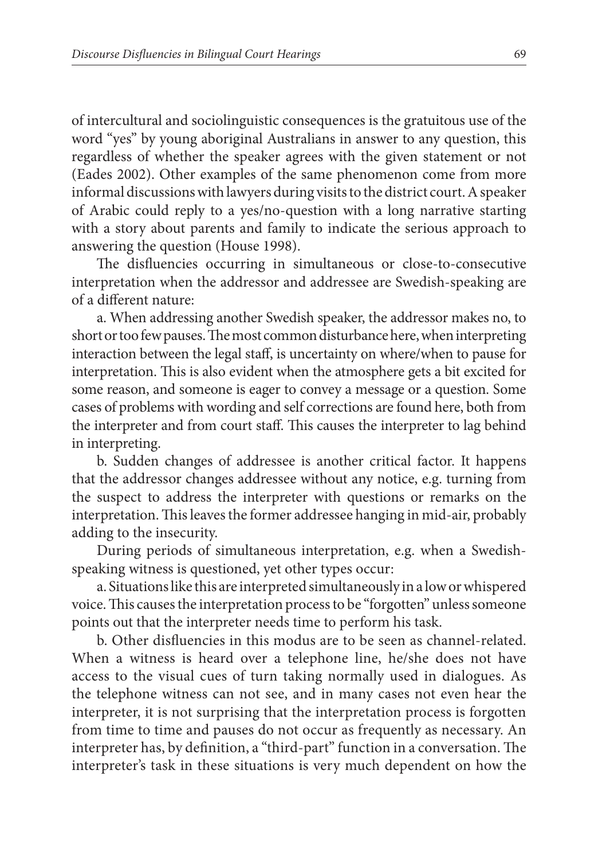of intercultural and sociolinguistic consequences is the gratuitous use of the word "yes" by young aboriginal Australians in answer to any question, this regardless of whether the speaker agrees with the given statement or not (Eades 2002). Other examples of the same phenomenon come from more informal discussions with lawyers during visits to the district court. A speaker of Arabic could reply to a yes/no-question with a long narrative starting with a story about parents and family to indicate the serious approach to answering the question (House 1998).

The disfluencies occurring in simultaneous or close-to-consecutive interpretation when the addressor and addressee are Swedish-speaking are of a different nature:

a. When addressing another Swedish speaker, the addressor makes no, to short or too few pauses. The most common disturbance here, when interpreting interaction between the legal staff, is uncertainty on where/when to pause for interpretation. This is also evident when the atmosphere gets a bit excited for some reason, and someone is eager to convey a message or a question. Some cases of problems with wording and self corrections are found here, both from the interpreter and from court staff. This causes the interpreter to lag behind in interpreting.

b. Sudden changes of addressee is another critical factor. It happens that the addressor changes addressee without any notice, e.g. turning from the suspect to address the interpreter with questions or remarks on the interpretation. This leaves the former addressee hanging in mid-air, probably adding to the insecurity.

During periods of simultaneous interpretation, e.g. when a Swedishspeaking witness is questioned, yet other types occur:

a. Situations like this are interpreted simultaneously in a low or whispered voice. This causes the interpretation process to be "forgotten" unless someone points out that the interpreter needs time to perform his task.

b. Other disfluencies in this modus are to be seen as channel-related. When a witness is heard over a telephone line, he/she does not have access to the visual cues of turn taking normally used in dialogues. As the telephone witness can not see, and in many cases not even hear the interpreter, it is not surprising that the interpretation process is forgotten from time to time and pauses do not occur as frequently as necessary. An interpreter has, by definition, a "third-part" function in a conversation. The interpreter's task in these situations is very much dependent on how the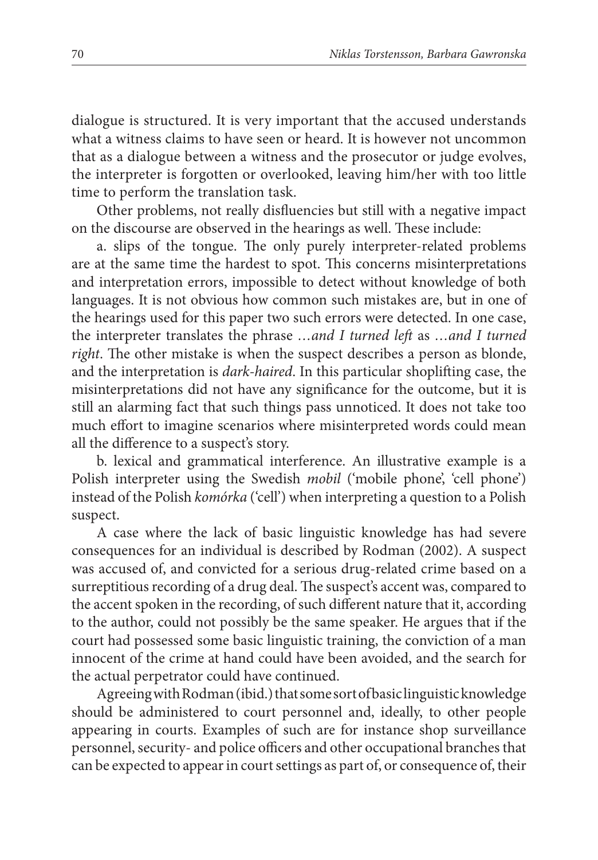dialogue is structured. It is very important that the accused understands what a witness claims to have seen or heard. It is however not uncommon that as a dialogue between a witness and the prosecutor or judge evolves, the interpreter is forgotten or overlooked, leaving him/her with too little time to perform the translation task.

Other problems, not really disfluencies but still with a negative impact on the discourse are observed in the hearings as well. These include:

a. slips of the tongue. The only purely interpreter-related problems are at the same time the hardest to spot. This concerns misinterpretations and interpretation errors, impossible to detect without knowledge of both languages. It is not obvious how common such mistakes are, but in one of the hearings used for this paper two such errors were detected. In one case, the interpreter translates the phrase *…and I turned left* as *…and I turned right*. The other mistake is when the suspect describes a person as blonde, and the interpretation is *dark-haired*. In this particular shoplifting case, the misinterpretations did not have any significance for the outcome, but it is still an alarming fact that such things pass unnoticed. It does not take too much effort to imagine scenarios where misinterpreted words could mean all the difference to a suspect's story.

b. lexical and grammatical interference. An illustrative example is a Polish interpreter using the Swedish *mobil* ('mobile phone', 'cell phone') instead of the Polish *komórka* ('cell') when interpreting a question to a Polish suspect.

A case where the lack of basic linguistic knowledge has had severe consequences for an individual is described by Rodman (2002). A suspect was accused of, and convicted for a serious drug-related crime based on a surreptitious recording of a drug deal. The suspect's accent was, compared to the accent spoken in the recording, of such different nature that it, according to the author, could not possibly be the same speaker. He argues that if the court had possessed some basic linguistic training, the conviction of a man innocent of the crime at hand could have been avoided, and the search for the actual perpetrator could have continued.

Agreeing with Rodman (ibid.) that some sort of basic linguistic knowledge should be administered to court personnel and, ideally, to other people appearing in courts. Examples of such are for instance shop surveillance personnel, security- and police officers and other occupational branches that can be expected to appear in court settings as part of, or consequence of, their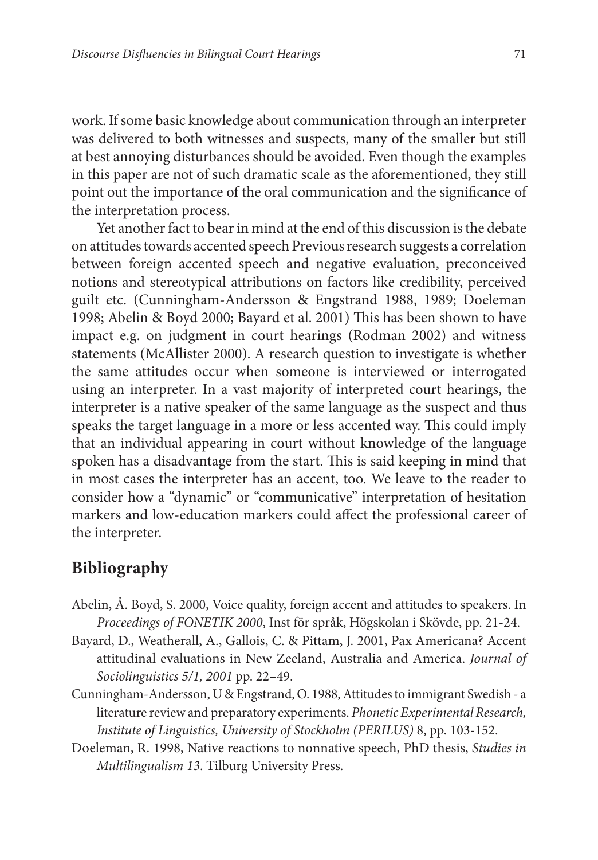work. If some basic knowledge about communication through an interpreter was delivered to both witnesses and suspects, many of the smaller but still at best annoying disturbances should be avoided. Even though the examples in this paper are not of such dramatic scale as the aforementioned, they still point out the importance of the oral communication and the significance of the interpretation process.

Yet another fact to bear in mind at the end of this discussion is the debate on attitudes towards accented speech Previous research suggests a correlation between foreign accented speech and negative evaluation, preconceived notions and stereotypical attributions on factors like credibility, perceived guilt etc. (Cunningham-Andersson & Engstrand 1988, 1989; Doeleman 1998; Abelin & Boyd 2000; Bayard et al. 2001) This has been shown to have impact e.g. on judgment in court hearings (Rodman 2002) and witness statements (McAllister 2000). A research question to investigate is whether the same attitudes occur when someone is interviewed or interrogated using an interpreter. In a vast majority of interpreted court hearings, the interpreter is a native speaker of the same language as the suspect and thus speaks the target language in a more or less accented way. This could imply that an individual appearing in court without knowledge of the language spoken has a disadvantage from the start. This is said keeping in mind that in most cases the interpreter has an accent, too. We leave to the reader to consider how a "dynamic" or "communicative" interpretation of hesitation markers and low-education markers could affect the professional career of the interpreter.

## **Bibliography**

- Abelin, Å. Boyd, S. 2000, Voice quality, foreign accent and attitudes to speakers. In *Proceedings of FONETIK 2000*, Inst för språk, Högskolan i Skövde, pp. 21-24.
- Bayard, D., Weatherall, A., Gallois, C. & Pittam, J. 2001, Pax Americana? Accent attitudinal evaluations in New Zeeland, Australia and America. *Journal of Sociolinguistics 5/1, 2001* pp. 22–49.
- Cunningham-Andersson, U & Engstrand, O. 1988, Attitudes to immigrant Swedish a literature review and preparatory experiments. *Phonetic Experimental Research, Institute of Linguistics, University of Stockholm (PERILUS)* 8, pp. 103-152.
- Doeleman, R. 1998, Native reactions to nonnative speech, PhD thesis, *Studies in Multilingualism 13*. Tilburg University Press.